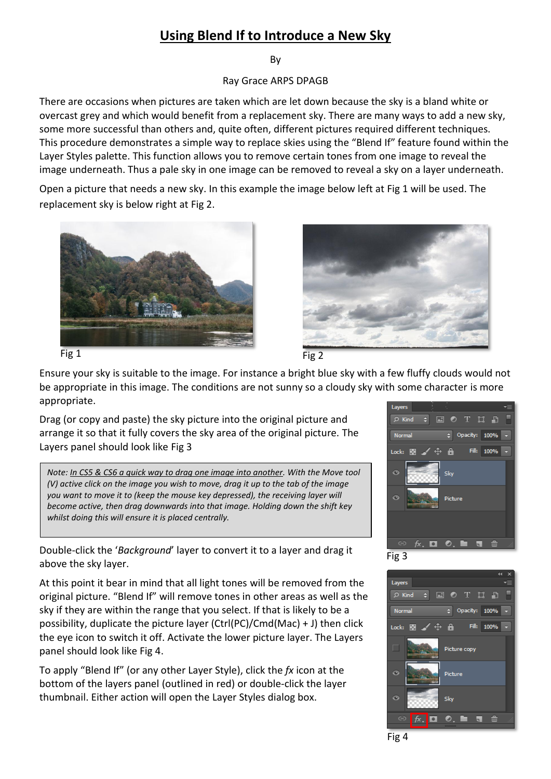## **Using Blend If to Introduce a New Sky**

By

Ray Grace ARPS DPAGB

There are occasions when pictures are taken which are let down because the sky is a bland white or overcast grey and which would benefit from a replacement sky. There are many ways to add a new sky, some more successful than others and, quite often, different pictures required different techniques. This procedure demonstrates a simple way to replace skies using the "Blend If" feature found within the Layer Styles palette. This function allows you to remove certain tones from one image to reveal the image underneath. Thus a pale sky in one image can be removed to reveal a sky on a layer underneath.

Open a picture that needs a new sky. In this example the image below left at Fig 1 will be used. The replacement sky is below right at Fig 2.









Ensure your sky is suitable to the image. For instance a bright blue sky with a few fluffy clouds would not be appropriate in this image. The conditions are not sunny so a cloudy sky with some character is more appropriate.

Drag (or copy and paste) the sky picture into the original picture and arrange it so that it fully covers the sky area of the original picture. The Layers panel should look like Fig 3

*Note: In CS5 & CS6 a quick way to drag one image into another. With the Move tool (V) active click on the image you wish to move, drag it up to the tab of the image you want to move it to (keep the mouse key depressed), the receiving layer will become active, then drag downwards into that image. Holding down the shift key whilst doing this will ensure it is placed centrally.*

Double-click the '*Background*' layer to convert it to a layer and drag it above the sky layer.

At this point it bear in mind that all light tones will be removed from the original picture. "Blend If" will remove tones in other areas as well as the sky if they are within the range that you select. If that is likely to be a possibility, duplicate the picture layer (Ctrl(PC)/Cmd(Mac) + J) then click the eye icon to switch it off. Activate the lower picture layer. The Layers panel should look like Fig 4.

To apply "Blend If" (or any other Layer Style), click the *fx* icon at the bottom of the layers panel (outlined in red) or double-click the layer thumbnail. Either action will open the Layer Styles dialog box.





Fig 4